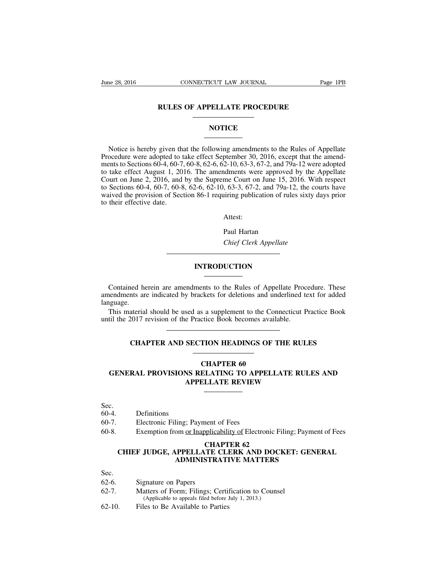## **RULES OF APPELLATE PROCEDURE**

## **NOTICE**

Notice is hereby given that the following amendments to the Rules of Appellate Procedure were adopted to take effect September 30, 2016, except that the amendments to Sections 60-4, 60-7, 60-8, 62-6, 62-10, 63-3, 67-2, and 79a-12 were adopted to take effect August 1, 2016. The amendments were approved by the Appellate Court on June 2, 2016, and by the Supreme Court on June 15, 2016. With respect to Sections 60-4, 60-7, 60-8, 62-6, 62-10, 63-3, 67-2, and 79a-12, the courts have waived the provision of Section 86-1 requiring publication of rules sixty days prior to their effective date.

Attest:

Paul Hartan *Chief Clerk Appellate*

## **INTRODUCTION**

Contained herein are amendments to the Rules of Appellate Procedure. These amendments are indicated by brackets for deletions and underlined text for added language.

This material should be used as a supplement to the Connecticut Practice Book until the 2017 revision of the Practice Book becomes available.

## **CHAPTER AND SECTION HEADINGS OF THE RULES**

## **CHAPTER 60**

# **GENERAL PROVISIONS RELATING TO APPELLATE RULES AND APPELLATE REVIEW**

Sec.<br>60-4.

- **Definitions**
- 60-7. Electronic Filing; Payment of Fees
- 60-8. Exemption from or Inapplicability of Electronic Filing; Payment of Fees

#### **CHAPTER 62**

## **CHIEF JUDGE, APPELLATE CLERK AND DOCKET: GENERAL ADMINISTRATIVE MATTERS**

Sec.

- 62-6. Signature on Papers
- 62-7. Matters of Form; Filings; Certification to Counsel (Applicable to appeals filed before July 1, 2013.)
- 62-10. Files to Be Available to Parties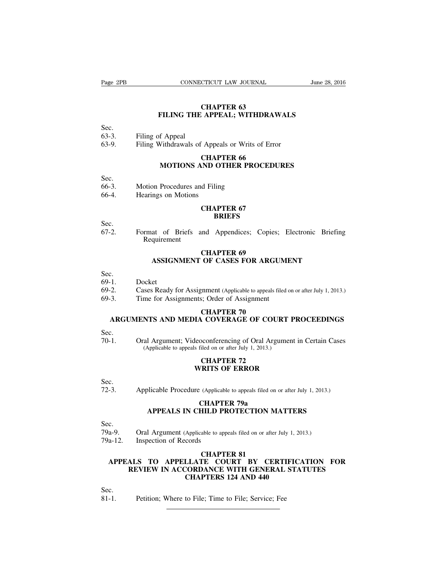# **CHAPTER 63 FILING THE APPEAL; WITHDRAWALS**

### Sec.

- 63-3. Filing of Appeal
- 63-9. Filing Withdrawals of Appeals or Writs of Error

# **CHAPTER 66 MOTIONS AND OTHER PROCEDURES**

- Sec.
- 66-3. Motion Procedures and Filing
- 66-4. Hearings on Motions

### **CHAPTER 67 BRIEFS**

Sec.

67-2. Format of Briefs and Appendices; Copies; Electronic Briefing Requirement

## **CHAPTER 69 ASSIGNMENT OF CASES FOR ARGUMENT**

## Sec.

- 69-1. Docket
- 69-2. Cases Ready for Assignment (Applicable to appeals filed on or after July 1, 2013.)
- 69-3. Time for Assignments; Order of Assignment

## **CHAPTER 70 ARGUMENTS AND MEDIA COVERAGE OF COURT PROCEEDINGS**

Sec.

70-1. Oral Argument; Videoconferencing of Oral Argument in Certain Cases (Applicable to appeals filed on or after July 1, 2013.)

## **CHAPTER 72 WRITS OF ERROR**

Sec.

72-3. Applicable Procedure (Applicable to appeals filed on or after July 1, 2013.)

# **CHAPTER 79a APPEALS IN CHILD PROTECTION MATTERS**

## Sec.

- 79a-9. Oral Argument (Applicable to appeals filed on or after July 1, 2013.)
- 79a-12. Inspection of Records

#### **CHAPTER 81**

# **APPEALS TO APPELLATE COURT BY CERTIFICATION FOR REVIEW IN ACCORDANCE WITH GENERAL STATUTES CHAPTERS 124 AND 440**

Sec.

81-1. Petition; Where to File; Time to File; Service; Fee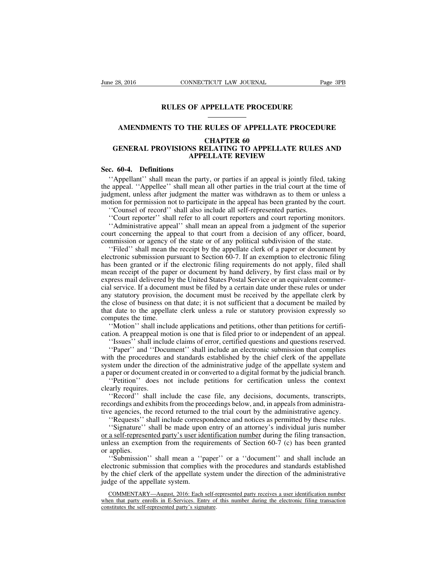### **RULES OF APPELLATE PROCEDURE**

## **AMENDMENTS TO THE RULES OF APPELLATE PROCEDURE**

#### **CHAPTER 60**

# **GENERAL PROVISIONS RELATING TO APPELLATE RULES AND APPELLATE REVIEW**

#### **Sec. 60-4. Definitions**

''Appellant'' shall mean the party, or parties if an appeal is jointly filed, taking the appeal. ''Appellee'' shall mean all other parties in the trial court at the time of judgment, unless after judgment the matter was withdrawn as to them or unless a motion for permission not to participate in the appeal has been granted by the court.

''Counsel of record'' shall also include all self-represented parties.

''Court reporter'' shall refer to all court reporters and court reporting monitors. ''Administrative appeal'' shall mean an appeal from a judgment of the superior court concerning the appeal to that court from a decision of any officer, board, commission or agency of the state or of any political subdivision of the state.

''Filed'' shall mean the receipt by the appellate clerk of a paper or document by electronic submission pursuant to Section 60-7. If an exemption to electronic filing has been granted or if the electronic filing requirements do not apply, filed shall mean receipt of the paper or document by hand delivery, by first class mail or by express mail delivered by the United States Postal Service or an equivalent commercial service. If a document must be filed by a certain date under these rules or under any statutory provision, the document must be received by the appellate clerk by the close of business on that date; it is not sufficient that a document be mailed by that date to the appellate clerk unless a rule or statutory provision expressly so computes the time.

''Motion'' shall include applications and petitions, other than petitions for certification. A preappeal motion is one that is filed prior to or independent of an appeal.

''Issues'' shall include claims of error, certified questions and questions reserved.

''Paper'' and ''Document'' shall include an electronic submission that complies with the procedures and standards established by the chief clerk of the appellate system under the direction of the administrative judge of the appellate system and a paper or document created in or converted to a digital format by the judicial branch.

''Petition'' does not include petitions for certification unless the context clearly requires.

''Record'' shall include the case file, any decisions, documents, transcripts, recordings and exhibits from the proceedings below, and, in appeals from administrative agencies, the record returned to the trial court by the administrative agency.

''Requests'' shall include correspondence and notices as permitted by these rules.

''Signature'' shall be made upon entry of an attorney's individual juris number or a self-represented party's user identification number during the filing transaction, unless an exemption from the requirements of Section 60-7 (c) has been granted or applies.

''Submission'' shall mean a ''paper'' or a ''document'' and shall include an electronic submission that complies with the procedures and standards established by the chief clerk of the appellate system under the direction of the administrative judge of the appellate system.

COMMENTARY—August, 2016: Each self-represented party receives a user identification number when that party enrolls in E-Services. Entry of this number during the electronic filing transaction constitutes the self-represented party's signature.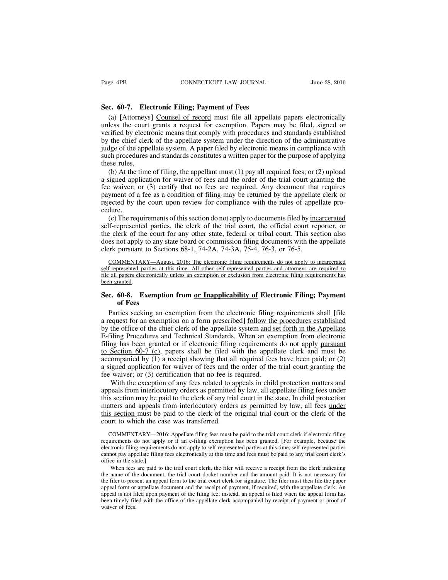### **Sec. 60-7. Electronic Filing; Payment of Fees**

(a) **[**Attorneys**]** Counsel of record must file all appellate papers electronically unless the court grants a request for exemption. Papers may be filed, signed or verified by electronic means that comply with procedures and standards established by the chief clerk of the appellate system under the direction of the administrative judge of the appellate system. A paper filed by electronic means in compliance with such procedures and standards constitutes a written paper for the purpose of applying these rules.

(b) At the time of filing, the appellant must (1) pay all required fees; or (2) upload a signed application for waiver of fees and the order of the trial court granting the fee waiver; or (3) certify that no fees are required. Any document that requires payment of a fee as a condition of filing may be returned by the appellate clerk or rejected by the court upon review for compliance with the rules of appellate procedure.

(c) The requirements of thissection do not apply to documentsfiled by incarcerated self-represented parties, the clerk of the trial court, the official court reporter, or the clerk of the court for any other state, federal or tribal court. This section also does not apply to any state board or commission filing documents with the appellate clerk pursuant to Sections 68-1, 74-2A, 74-3A, 75-4, 76-3, or 76-5.

COMMENTARY—August, 2016: The electronic filing requirements do not apply to incarcerated self-represented parties at this time. All other self-represented parties and attorneys are required to file all papers electronically unless an exemption or exclusion from electronic filing requirements has been granted.

### **Sec. 60-8. Exemption from or Inapplicability of Electronic Filing; Payment of Fees**

Parties seeking an exemption from the electronic filing requirements shall **[**file a request for an exemption on a form prescribed**]** follow the procedures established by the office of the chief clerk of the appellate system and set forth in the Appellate E-filing Procedures and Technical Standards. When an exemption from electronic filing has been granted or if electronic filing requirements do not apply pursuant to Section 60-7 (c), papers shall be filed with the appellate clerk and must be accompanied by (1) a receipt showing that all required fees have been paid; or (2) a signed application for waiver of fees and the order of the trial court granting the fee waiver; or (3) certification that no fee is required.

With the exception of any fees related to appeals in child protection matters and appeals from interlocutory orders as permitted by law, all appellate filing fees under this section may be paid to the clerk of any trial court in the state. In child protection matters and appeals from interlocutory orders as permitted by law, all fees under this section must be paid to the clerk of the original trial court or the clerk of the court to which the case was transferred.

COMMENTARY—2016: Appellate filing fees must be paid to the trial court clerk if electronic filing requirements do not apply or if an e-filing exemption has been granted. **[**For example, because the electronic filing requirements do not apply to self-represented parties at this time, self-represented parties cannot pay appellate filing fees electronically at this time and fees must be paid to any trial court clerk's office in the state.**]**

When fees are paid to the trial court clerk, the filer will receive a receipt from the clerk indicating the name of the document, the trial court docket number and the amount paid. It is not necessary for the filer to present an appeal form to the trial court clerk for signature. The filer must then file the paper appeal form or appellate document and the receipt of payment, if required, with the appellate clerk. An appeal is not filed upon payment of the filing fee; instead, an appeal is filed when the appeal form has been timely filed with the office of the appellate clerk accompanied by receipt of payment or proof of waiver of fees.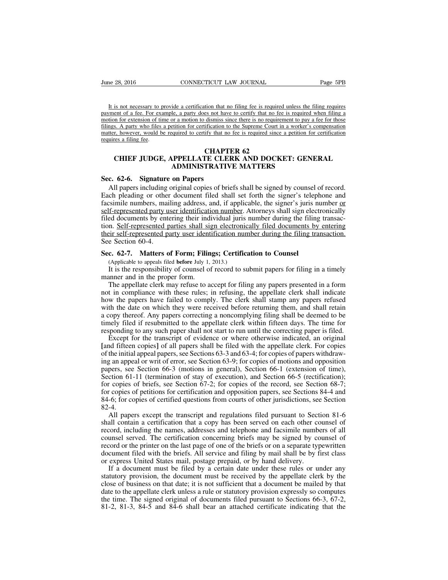It is not necessary to provide a certification that no filing fee is required unless the filing requires payment of a fee. For example, a party does not have to certify that no fee is required when filing a motion for extension of time or a motion to dismiss since there is no requirement to pay a fee for those filings. A party who files a petition for certification to the Supreme Court in a worker's compensation matter, however, would be required to certify that no fee is required since a petition for certification requires a filing fee.

### **CHAPTER 62 CHIEF JUDGE, APPELLATE CLERK AND DOCKET: GENERAL ADMINISTRATIVE MATTERS**

#### **Sec. 62-6. Signature on Papers**

All papers including original copies of briefs shall be signed by counsel of record. Each pleading or other document filed shall set forth the signer's telephone and facsimile numbers, mailing address, and, if applicable, the signer's juris number or self-represented party user identification number. Attorneys shall sign electronically filed documents by entering their individual juris number during the filing transaction. Self-represented parties shall sign electronically filed documents by entering their self-represented party user identification number during the filing transaction. See Section 60-4.

#### **Sec. 62-7. Matters of Form; Filings; Certification to Counsel**

(Applicable to appeals filed **before** July 1, 2013.)

It is the responsibility of counsel of record to submit papers for filing in a timely manner and in the proper form.

The appellate clerk may refuse to accept for filing any papers presented in a form not in compliance with these rules; in refusing, the appellate clerk shall indicate how the papers have failed to comply. The clerk shall stamp any papers refused with the date on which they were received before returning them, and shall retain a copy thereof. Any papers correcting a noncomplying filing shall be deemed to be timely filed if resubmitted to the appellate clerk within fifteen days. The time for responding to any such paper shall not start to run until the correcting paper is filed.

Except for the transcript of evidence or where otherwise indicated, an original **[**and fifteen copies**]** of all papers shall be filed with the appellate clerk. For copies of the initial appeal papers, see Sections  $63-3$  and  $63-4$ ; for copies of papers withdrawing an appeal or writ of error, see Section 63-9; for copies of motions and opposition papers, see Section 66-3 (motions in general), Section 66-1 (extension of time), Section 61-11 (termination of stay of execution), and Section 66-5 (rectification); for copies of briefs, see Section 67-2; for copies of the record, see Section 68-7; for copies of petitions for certification and opposition papers, see Sections 84-4 and 84-6; for copies of certified questions from courts of other jurisdictions, see Section 82-4.

All papers except the transcript and regulations filed pursuant to Section 81-6 shall contain a certification that a copy has been served on each other counsel of record, including the names, addresses and telephone and facsimile numbers of all counsel served. The certification concerning briefs may be signed by counsel of record or the printer on the last page of one of the briefs or on a separate typewritten document filed with the briefs. All service and filing by mail shall be by first class or express United States mail, postage prepaid, or by hand delivery.

If a document must be filed by a certain date under these rules or under any statutory provision, the document must be received by the appellate clerk by the close of business on that date; it is not sufficient that a document be mailed by that date to the appellate clerk unless a rule or statutory provision expressly so computes the time. The signed original of documents filed pursuant to Sections 66-3, 67-2, 81-2, 81-3, 84-5 and 84-6 shall bear an attached certificate indicating that the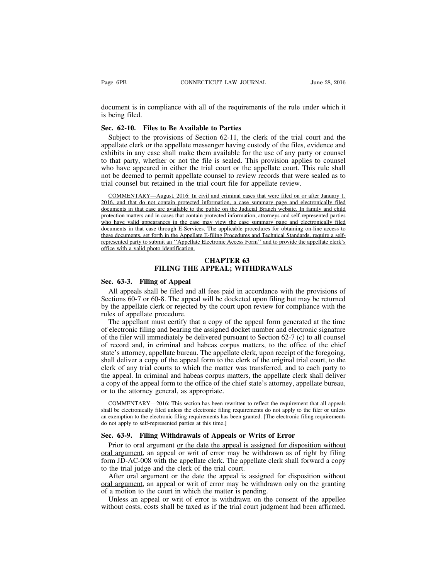document is in compliance with all of the requirements of the rule under which it is being filed.

### **Sec. 62-10. Files to Be Available to Parties**

Subject to the provisions of Section 62-11, the clerk of the trial court and the appellate clerk or the appellate messenger having custody of the files, evidence and exhibits in any case shall make them available for the use of any party or counsel to that party, whether or not the file is sealed. This provision applies to counsel who have appeared in either the trial court or the appellate court. This rule shall not be deemed to permit appellate counsel to review records that were sealed as to trial counsel but retained in the trial court file for appellate review.

COMMENTARY—August, 2016: In civil and criminal cases that were filed on or after January 1, 2016, and that do not contain protected information, a case summary page and electronically filed documents in that case are available to the public on the Judicial Branch website. In family and child protection matters and in cases that contain protected information, attorneys and self-represented parties who have valid appearances in the case may view the case summary page and electronically filed documents in that case through E-Services. The applicable procedures for obtaining on-line access to these documents, set forth in the Appellate E-filing Procedures and Technical Standards, require a selfrepresented party to submit an ''Appellate Electronic Access Form'' and to provide the appellate clerk's office with a valid photo identification.

## **CHAPTER 63 FILING THE APPEAL; WITHDRAWALS**

#### **Sec. 63-3. Filing of Appeal**

All appeals shall be filed and all fees paid in accordance with the provisions of Sections 60-7 or 60-8. The appeal will be docketed upon filing but may be returned by the appellate clerk or rejected by the court upon review for compliance with the rules of appellate procedure.

The appellant must certify that a copy of the appeal form generated at the time of electronic filing and bearing the assigned docket number and electronic signature of the filer will immediately be delivered pursuant to Section 62-7 (c) to all counsel of record and, in criminal and habeas corpus matters, to the office of the chief state's attorney, appellate bureau. The appellate clerk, upon receipt of the foregoing, shall deliver a copy of the appeal form to the clerk of the original trial court, to the clerk of any trial courts to which the matter was transferred, and to each party to the appeal. In criminal and habeas corpus matters, the appellate clerk shall deliver a copy of the appeal form to the office of the chief state's attorney, appellate bureau, or to the attorney general, as appropriate.

COMMENTARY—2016: This section has been rewritten to reflect the requirement that all appeals shall be electronically filed unless the electronic filing requirements do not apply to the filer or unless an exemption to the electronic filing requirements has been granted. **[**The electronic filing requirements do not apply to self-represented parties at this time.**]**

#### **Sec. 63-9. Filing Withdrawals of Appeals or Writs of Error**

Prior to oral argument <u>or the date the appeal is assigned for disposition without</u> oral argument, an appeal or writ of error may be withdrawn as of right by filing form JD-AC-008 with the appellate clerk. The appellate clerk shall forward a copy to the trial judge and the clerk of the trial court.

After oral argument or the date the appeal is assigned for disposition without oral argument, an appeal or writ of error may be withdrawn only on the granting of a motion to the court in which the matter is pending.

Unless an appeal or writ of error is withdrawn on the consent of the appellee without costs, costs shall be taxed as if the trial court judgment had been affirmed.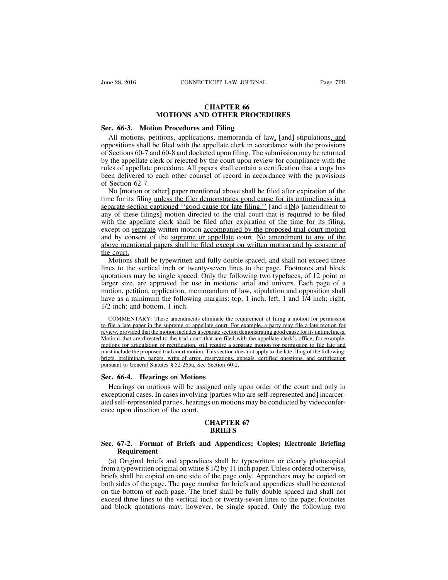## **CHAPTER 66 MOTIONS AND OTHER PROCEDURES**

#### **Sec. 66-3. Motion Procedures and Filing**

All motions, petitions, applications, memoranda of law, **[**and**]** stipulations, and oppositions shall be filed with the appellate clerk in accordance with the provisions of Sections 60-7 and 60-8 and docketed upon filing. The submission may be returned by the appellate clerk or rejected by the court upon review for compliance with the rules of appellate procedure. All papers shall contain a certification that a copy has been delivered to each other counsel of record in accordance with the provisions of Section 62-7.

No **[**motion or other**]** paper mentioned above shall be filed after expiration of the time for its filing unless the filer demonstrates good cause for its untimeliness in a separate section captioned ''good cause for late filing.'' **[**and n**]**No **[**amendment to any of these filings**]** motion directed to the trial court that is required to be filed with the appellate clerk shall be filed after expiration of the time for its filing, except on separate written motion accompanied by the proposed trial court motion and by consent of the supreme or appellate court. No amendment to any of the above mentioned papers shall be filed except on written motion and by consent of the court.

Motions shall be typewritten and fully double spaced, and shall not exceed three lines to the vertical inch or twenty-seven lines to the page. Footnotes and block quotations may be single spaced. Only the following two typefaces, of 12 point or larger size, are approved for use in motions: arial and univers. Each page of a motion, petition, application, memorandum of law, stipulation and opposition shall have as a minimum the following margins: top, 1 inch; left, 1 and 1/4 inch; right, 1/2 inch; and bottom, 1 inch.

COMMENTARY: These amendments eliminate the requirement of filing a motion for permission to file a late paper in the supreme or appellate court. For example, a party may file a late motion for review, provided that the motion includes a separate section demonstrating good cause for its untimeliness. Motions that are directed to the trial court that are filed with the appellate clerk's office, for example, motions for articulation or rectification, still require a separate motion for permission to file late and must include the proposed trial court motion. This section does not apply to the late filing of the following: briefs, preliminary papers, writs of error, reservations, appeals, certified questions, and certification pursuant to General Statutes § 52-265a. See Section 60-2.

#### **Sec. 66-4. Hearings on Motions**

Hearings on motions will be assigned only upon order of the court and only in exceptional cases. In cases involving **[**parties who are self-represented and**]** incarcerated self-represented parties, hearings on motions may be conducted by videoconference upon direction of the court.

## **CHAPTER 67 BRIEFS**

## **Sec. 67-2. Format of Briefs and Appendices; Copies; Electronic Briefing Requirement**

(a) Original briefs and appendices shall be typewritten or clearly photocopied from a typewritten original on white 8 1/2 by 11 inch paper. Unless ordered otherwise, briefs shall be copied on one side of the page only. Appendices may be copied on both sides of the page. The page number for briefs and appendices shall be centered on the bottom of each page. The brief shall be fully double spaced and shall not exceed three lines to the vertical inch or twenty-seven lines to the page; footnotes and block quotations may, however, be single spaced. Only the following two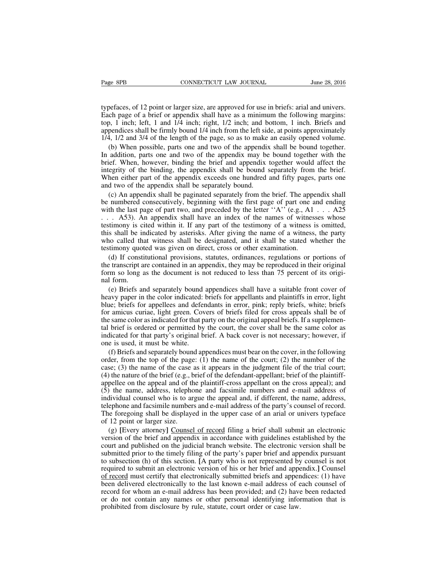typefaces, of 12 point or larger size, are approved for use in briefs: arial and univers. Each page of a brief or appendix shall have as a minimum the following margins: top, 1 inch; left, 1 and 1/4 inch; right, 1/2 inch; and bottom, 1 inch. Briefs and appendices shall be firmly bound 1/4 inch from the left side, at points approximately 1/4, 1/2 and 3/4 of the length of the page, so as to make an easily opened volume.

(b) When possible, parts one and two of the appendix shall be bound together. In addition, parts one and two of the appendix may be bound together with the brief. When, however, binding the brief and appendix together would affect the integrity of the binding, the appendix shall be bound separately from the brief. When either part of the appendix exceeds one hundred and fifty pages, parts one and two of the appendix shall be separately bound.

(c) An appendix shall be paginated separately from the brief. The appendix shall be numbered consecutively, beginning with the first page of part one and ending with the last page of part two, and preceded by the letter  $"A"$  (e.g., A1 . . . A25) . . . A53). An appendix shall have an index of the names of witnesses whose testimony is cited within it. If any part of the testimony of a witness is omitted, this shall be indicated by asterisks. After giving the name of a witness, the party who called that witness shall be designated, and it shall be stated whether the testimony quoted was given on direct, cross or other examination.

(d) If constitutional provisions, statutes, ordinances, regulations or portions of the transcript are contained in an appendix, they may be reproduced in their original form so long as the document is not reduced to less than 75 percent of its original form.

(e) Briefs and separately bound appendices shall have a suitable front cover of heavy paper in the color indicated: briefs for appellants and plaintiffs in error, light blue; briefs for appellees and defendants in error, pink; reply briefs, white; briefs for amicus curiae, light green. Covers of briefs filed for cross appeals shall be of the same color asindicated for that party on the original appeal briefs. If a supplemental brief is ordered or permitted by the court, the cover shall be the same color as indicated for that party's original brief. A back cover is not necessary; however, if one is used, it must be white.

(f) Briefs and separately bound appendices must bear on the cover, in the following order, from the top of the page: (1) the name of the court; (2) the number of the case; (3) the name of the case as it appears in the judgment file of the trial court; (4) the nature of the brief (e.g., brief of the defendant-appellant; brief of the plaintiffappellee on the appeal and of the plaintiff-cross appellant on the cross appeal); and (5) the name, address, telephone and facsimile numbers and e-mail address of individual counsel who is to argue the appeal and, if different, the name, address, telephone and facsimile numbers and e-mail address of the party's counsel of record. The foregoing shall be displayed in the upper case of an arial or univers typeface of 12 point or larger size.

(g) **[**Every attorney**]** Counsel of record filing a brief shall submit an electronic version of the brief and appendix in accordance with guidelines established by the court and published on the judicial branch website. The electronic version shall be submitted prior to the timely filing of the party's paper brief and appendix pursuant to subsection (h) of this section. **[**A party who is not represented by counsel is not required to submit an electronic version of his or her brief and appendix.**]** Counsel of record must certify that electronically submitted briefs and appendices: (1) have been delivered electronically to the last known e-mail address of each counsel of record for whom an e-mail address has been provided; and (2) have been redacted or do not contain any names or other personal identifying information that is prohibited from disclosure by rule, statute, court order or case law.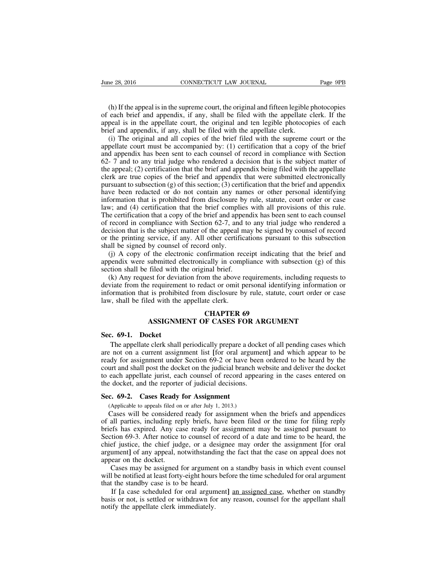(h) If the appeal isin the supreme court, the original and fifteen legible photocopies of each brief and appendix, if any, shall be filed with the appellate clerk. If the appeal is in the appellate court, the original and ten legible photocopies of each brief and appendix, if any, shall be filed with the appellate clerk.

(i) The original and all copies of the brief filed with the supreme court or the appellate court must be accompanied by: (1) certification that a copy of the brief and appendix has been sent to each counsel of record in compliance with Section 62- 7 and to any trial judge who rendered a decision that is the subject matter of the appeal; (2) certification that the brief and appendix being filed with the appellate clerk are true copies of the brief and appendix that were submitted electronically pursuant to subsection  $(g)$  of this section; (3) certification that the brief and appendix have been redacted or do not contain any names or other personal identifying information that is prohibited from disclosure by rule, statute, court order or case law; and (4) certification that the brief complies with all provisions of this rule. The certification that a copy of the brief and appendix has been sent to each counsel of record in compliance with Section 62-7, and to any trial judge who rendered a decision that is the subject matter of the appeal may be signed by counsel of record or the printing service, if any. All other certifications pursuant to this subsection shall be signed by counsel of record only.

(j) A copy of the electronic confirmation receipt indicating that the brief and appendix were submitted electronically in compliance with subsection (g) of this section shall be filed with the original brief.

(k) Any request for deviation from the above requirements, including requests to deviate from the requirement to redact or omit personal identifying information or information that is prohibited from disclosure by rule, statute, court order or case law, shall be filed with the appellate clerk.

## **CHAPTER 69 ASSIGNMENT OF CASES FOR ARGUMENT**

#### **Sec. 69-1. Docket**

The appellate clerk shall periodically prepare a docket of all pending cases which are not on a current assignment list **[**for oral argument**]** and which appear to be ready for assignment under Section 69-2 or have been ordered to be heard by the court and shall post the docket on the judicial branch website and deliver the docket to each appellate jurist, each counsel of record appearing in the cases entered on the docket, and the reporter of judicial decisions.

#### **Sec. 69-2. Cases Ready for Assignment**

(Applicable to appeals filed on or after July 1, 2013.)

Cases will be considered ready for assignment when the briefs and appendices of all parties, including reply briefs, have been filed or the time for filing reply briefs has expired. Any case ready for assignment may be assigned pursuant to Section 69-3. After notice to counsel of record of a date and time to be heard, the chief justice, the chief judge, or a designee may order the assignment **[**for oral argument**]** of any appeal, notwithstanding the fact that the case on appeal does not appear on the docket.

Cases may be assigned for argument on a standby basis in which event counsel will be notified at least forty-eight hours before the time scheduled for oral argument that the standby case is to be heard.

If **[**a case scheduled for oral argument**]** an assigned case, whether on standby basis or not, is settled or withdrawn for any reason, counsel for the appellant shall notify the appellate clerk immediately.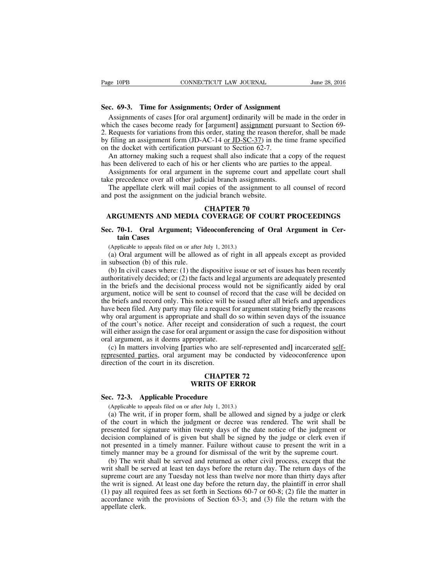## **Sec. 69-3. Time for Assignments; Order of Assignment**

Assignments of cases **[**for oral argument**]** ordinarily will be made in the order in which the cases become ready for [argument] **assignment** pursuant to Section 69-2. Requests for variations from this order, stating the reason therefor, shall be made by filing an assignment form (JD-AC-14 or JD-SC-37) in the time frame specified on the docket with certification pursuant to Section 62-7.

An attorney making such a request shall also indicate that a copy of the request has been delivered to each of his or her clients who are parties to the appeal.

Assignments for oral argument in the supreme court and appellate court shall take precedence over all other judicial branch assignments.

The appellate clerk will mail copies of the assignment to all counsel of record and post the assignment on the judicial branch website.

## **CHAPTER 70 ARGUMENTS AND MEDIA COVERAGE OF COURT PROCEEDINGS**

### **Sec. 70-1. Oral Argument; Videoconferencing of Oral Argument in Certain Cases**

(Applicable to appeals filed on or after July 1, 2013.)

(a) Oral argument will be allowed as of right in all appeals except as provided in subsection (b) of this rule.

(b) In civil cases where: (1) the dispositive issue or set of issues has been recently authoritatively decided; or (2) the facts and legal arguments are adequately presented in the briefs and the decisional process would not be significantly aided by oral argument, notice will be sent to counsel of record that the case will be decided on the briefs and record only. This notice will be issued after all briefs and appendices have been filed. Any party may file a request for argument stating briefly the reasons why oral argument is appropriate and shall do so within seven days of the issuance of the court's notice. After receipt and consideration of such a request, the court will either assign the case for oral argument or assign the case for disposition without oral argument, as it deems appropriate.

(c) In matters involving **[**parties who are self-represented and**]** incarcerated selfrepresented parties, oral argument may be conducted by videoconference upon direction of the court in its discretion.

### **CHAPTER 72 WRITS OF ERROR**

#### **Sec. 72-3. Applicable Procedure**

(Applicable to appeals filed on or after July 1, 2013.)

(a) The writ, if in proper form, shall be allowed and signed by a judge or clerk of the court in which the judgment or decree was rendered. The writ shall be presented for signature within twenty days of the date notice of the judgment or decision complained of is given but shall be signed by the judge or clerk even if not presented in a timely manner. Failure without cause to present the writ in a timely manner may be a ground for dismissal of the writ by the supreme court.

(b) The writ shall be served and returned as other civil process, except that the writ shall be served at least ten days before the return day. The return days of the supreme court are any Tuesday not less than twelve nor more than thirty days after the writ is signed. At least one day before the return day, the plaintiff in error shall (1) pay all required fees as set forth in Sections 60-7 or 60-8; (2) file the matter in accordance with the provisions of Section 63-3; and (3) file the return with the appellate clerk.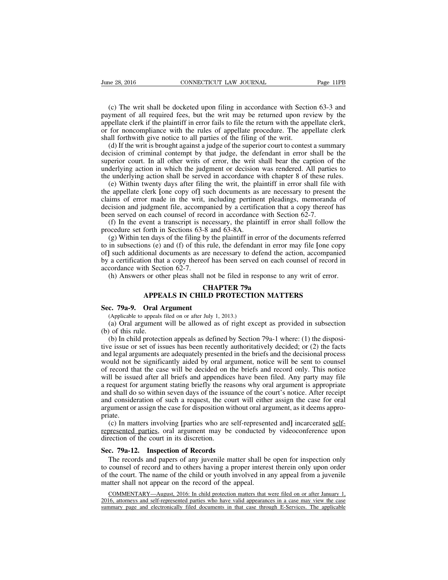(c) The writ shall be docketed upon filing in accordance with Section 63-3 and payment of all required fees, but the writ may be returned upon review by the appellate clerk if the plaintiff in error fails to file the return with the appellate clerk, or for noncompliance with the rules of appellate procedure. The appellate clerk shall forthwith give notice to all parties of the filing of the writ.

(d) If the writ is brought against a judge of the superior court to contest a summary decision of criminal contempt by that judge, the defendant in error shall be the superior court. In all other writs of error, the writ shall bear the caption of the underlying action in which the judgment or decision was rendered. All parties to the underlying action shall be served in accordance with chapter 8 of these rules.

(e) Within twenty days after filing the writ, the plaintiff in error shall file with the appellate clerk **[**one copy of**]** such documents as are necessary to present the claims of error made in the writ, including pertinent pleadings, memoranda of decision and judgment file, accompanied by a certification that a copy thereof has been served on each counsel of record in accordance with Section 62-7.

(f) In the event a transcript is necessary, the plaintiff in error shall follow the procedure set forth in Sections 63-8 and 63-8A.

(g) Within ten days of the filing by the plaintiff in error of the documents referred to in subsections (e) and (f) of this rule, the defendant in error may file **[**one copy of**]** such additional documents as are necessary to defend the action, accompanied by a certification that a copy thereof has been served on each counsel of record in accordance with Section 62-7.

(h) Answers or other pleas shall not be filed in response to any writ of error.

## **CHAPTER 79a APPEALS IN CHILD PROTECTION MATTERS**

#### **Sec. 79a-9. Oral Argument**

(Applicable to appeals filed on or after July 1, 2013.)

(a) Oral argument will be allowed as of right except as provided in subsection (b) of this rule.

(b) In child protection appeals as defined by Section 79a-1 where: (1) the dispositive issue or set of issues has been recently authoritatively decided; or (2) the facts and legal arguments are adequately presented in the briefs and the decisional process would not be significantly aided by oral argument, notice will be sent to counsel of record that the case will be decided on the briefs and record only. This notice will be issued after all briefs and appendices have been filed. Any party may file a request for argument stating briefly the reasons why oral argument is appropriate and shall do so within seven days of the issuance of the court's notice. After receipt and consideration of such a request, the court will either assign the case for oral argument or assign the case for disposition without oral argument, as it deems appropriate.

(c) In matters involving **[**parties who are self-represented and**]** incarcerated selfrepresented parties, oral argument may be conducted by videoconference upon direction of the court in its discretion.

#### **Sec. 79a-12. Inspection of Records**

The records and papers of any juvenile matter shall be open for inspection only to counsel of record and to others having a proper interest therein only upon order of the court. The name of the child or youth involved in any appeal from a juvenile matter shall not appear on the record of the appeal.

COMMENTARY—August, 2016: In child protection matters that were filed on or after January 1, 2016, attorneys and self-represented parties who have valid appearances in a case may view the case summary page and electronically filed documents in that case through E-Services. The applicable